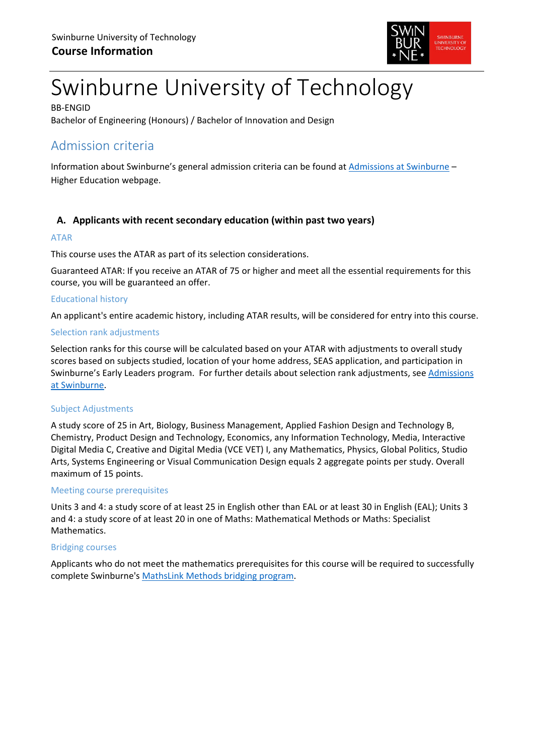

# Swinburne University of Technology

BB-ENGID Bachelor of Engineering (Honours) / Bachelor of Innovation and Design

# Admission criteria

Information about Swinburne's general admission criteria can be found at [Admissions at Swinburne](https://www.swinburne.edu.au/study/degrees/apply/admissions/) – Higher Education webpage.

# **A. Applicants with recent secondary education (within past two years)**

### ATAR

This course uses the ATAR as part of its selection considerations.

Guaranteed ATAR: If you receive an ATAR of 75 or higher and meet all the essential requirements for this course, you will be guaranteed an offer.

#### Educational history

An applicant's entire academic history, including ATAR results, will be considered for entry into this course.

#### Selection rank adjustments

Selection ranks for this course will be calculated based on your ATAR with adjustments to overall study scores based on subjects studied, location of your home address, SEAS application, and participation in Swinburne's Early Leaders program. For further details about selection rank adjustments, see [Admissions](https://www.swinburne.edu.au/study/degrees/apply/admissions/)  [at Swinburne.](https://www.swinburne.edu.au/study/degrees/apply/admissions/)

#### Subject Adjustments

A study score of 25 in Art, Biology, Business Management, Applied Fashion Design and Technology B, Chemistry, Product Design and Technology, Economics, any Information Technology, Media, Interactive Digital Media C, Creative and Digital Media (VCE VET) I, any Mathematics, Physics, Global Politics, Studio Arts, Systems Engineering or Visual Communication Design equals 2 aggregate points per study. Overall maximum of 15 points.

#### Meeting course prerequisites

Units 3 and 4: a study score of at least 25 in English other than EAL or at least 30 in English (EAL); Units 3 and 4: a study score of at least 20 in one of Maths: Mathematical Methods or Maths: Specialist Mathematics.

#### Bridging courses

Applicants who do not meet the mathematics prerequisites for this course will be required to successfully complete Swinburne's [MathsLink Methods bridging program.](https://www.swinburne.edu.au/study/course/MathsLink-Bridging-Program-(Methods)-NN-VCEXT/local)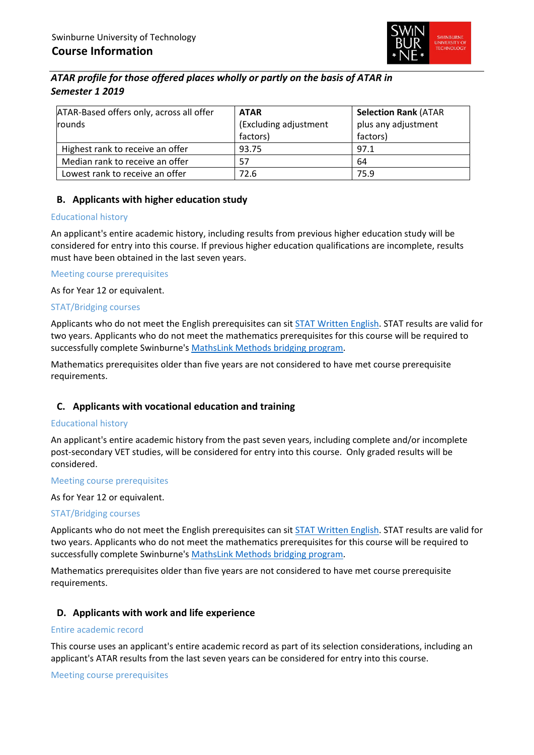

# *ATAR profile for those offered places wholly or partly on the basis of ATAR in Semester 1 2019*

| ATAR-Based offers only, across all offer<br>rounds | <b>ATAR</b><br>(Excluding adjustment<br>factors) | <b>Selection Rank (ATAR</b><br>plus any adjustment<br>factors) |
|----------------------------------------------------|--------------------------------------------------|----------------------------------------------------------------|
| Highest rank to receive an offer                   | 93.75                                            | 97.1                                                           |
| Median rank to receive an offer                    | 57                                               | 64                                                             |
| Lowest rank to receive an offer                    | 72.6                                             | 75.9                                                           |

## **B. Applicants with higher education study**

#### Educational history

An applicant's entire academic history, including results from previous higher education study will be considered for entry into this course. If previous higher education qualifications are incomplete, results must have been obtained in the last seven years.

#### Meeting course prerequisites

As for Year 12 or equivalent.

#### STAT/Bridging courses

Applicants who do not meet the English prerequisites can sit [STAT Written English.](https://www.swinburne.edu.au/study/degrees/apply/admissions-test/) STAT results are valid for two years. Applicants who do not meet the mathematics prerequisites for this course will be required to successfully complete Swinburne's [MathsLink Methods bridging program.](https://www.swinburne.edu.au/study/course/MathsLink-Bridging-Program-(Methods)-NN-VCEXT/local)

Mathematics prerequisites older than five years are not considered to have met course prerequisite requirements.

## **C. Applicants with vocational education and training**

#### Educational history

An applicant's entire academic history from the past seven years, including complete and/or incomplete post-secondary VET studies, will be considered for entry into this course. Only graded results will be considered.

#### Meeting course prerequisites

As for Year 12 or equivalent.

#### STAT/Bridging courses

Applicants who do not meet the English prerequisites can sit [STAT Written English.](https://www.swinburne.edu.au/study/degrees/apply/admissions-test/) STAT results are valid for two years. Applicants who do not meet the mathematics prerequisites for this course will be required to successfully complete Swinburne's [MathsLink Methods bridging program.](https://www.swinburne.edu.au/study/course/MathsLink-Bridging-Program-(Methods)-NN-VCEXT/local)

Mathematics prerequisites older than five years are not considered to have met course prerequisite requirements.

#### **D. Applicants with work and life experience**

#### Entire academic record

This course uses an applicant's entire academic record as part of its selection considerations, including an applicant's ATAR results from the last seven years can be considered for entry into this course.

Meeting course prerequisites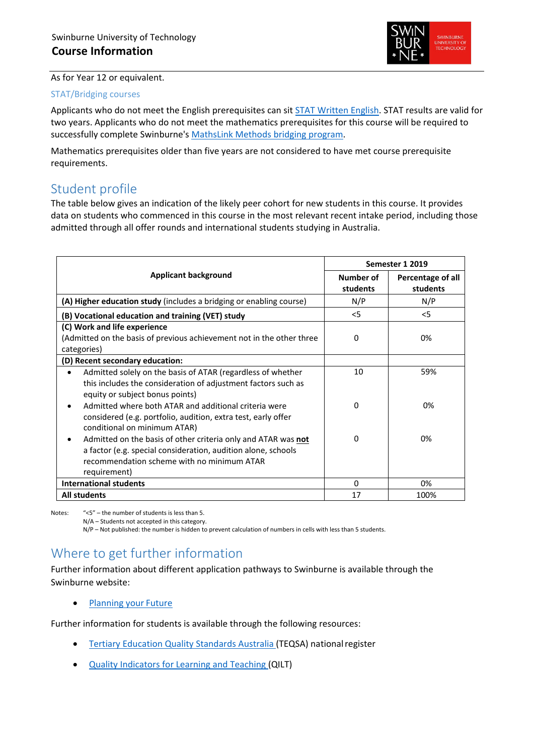

As for Year 12 or equivalent.

#### STAT/Bridging courses

Applicants who do not meet the English prerequisites can sit [STAT Written English.](https://www.swinburne.edu.au/study/degrees/apply/admissions-test/) STAT results are valid for two years. Applicants who do not meet the mathematics prerequisites for this course will be required to successfully complete Swinburne's [MathsLink Methods bridging program.](https://www.swinburne.edu.au/study/course/MathsLink-Bridging-Program-(Methods)-NN-VCEXT/local)

Mathematics prerequisites older than five years are not considered to have met course prerequisite requirements.

# Student profile

The table below gives an indication of the likely peer cohort for new students in this course. It provides data on students who commenced in this course in the most relevant recent intake period, including those admitted through all offer rounds and international students studying in Australia.

|                                                                                                                                                                                              | Semester 1 2019              |                               |
|----------------------------------------------------------------------------------------------------------------------------------------------------------------------------------------------|------------------------------|-------------------------------|
| <b>Applicant background</b>                                                                                                                                                                  | <b>Number of</b><br>students | Percentage of all<br>students |
| (A) Higher education study (includes a bridging or enabling course)                                                                                                                          | N/P                          | N/P                           |
| (B) Vocational education and training (VET) study                                                                                                                                            | $<$ 5                        | $<$ 5                         |
| (C) Work and life experience<br>(Admitted on the basis of previous achievement not in the other three<br>categories)                                                                         | $\Omega$                     | 0%                            |
| (D) Recent secondary education:                                                                                                                                                              |                              |                               |
| Admitted solely on the basis of ATAR (regardless of whether<br>this includes the consideration of adjustment factors such as<br>equity or subject bonus points)                              | 10                           | 59%                           |
| Admitted where both ATAR and additional criteria were<br>٠<br>considered (e.g. portfolio, audition, extra test, early offer<br>conditional on minimum ATAR)                                  | 0                            | 0%                            |
| Admitted on the basis of other criteria only and ATAR was not<br>a factor (e.g. special consideration, audition alone, schools<br>recommendation scheme with no minimum ATAR<br>requirement) | $\Omega$                     | 0%                            |
| <b>International students</b>                                                                                                                                                                | 0                            | 0%                            |
| <b>All students</b>                                                                                                                                                                          | 17                           | 100%                          |

Notes: "<5" – the number of students is less than 5.

N/A – Students not accepted in this category.

N/P – Not published: the number is hidden to prevent calculation of numbers in cells with less than 5 students.

# Where to get further information

Further information about different application pathways to Swinburne is available through the Swinburne website:

• [Planning your](https://www.swinburne.edu.au/study/options/planning-your-future/) Future

Further information for students is available through the following resources:

- [Tertiary Education Quality Standards Australia \(](http://www.teqsa.gov.au/national-register)TEQSA) nationalregister
- [Quality Indicators for Learning and Teaching \(](https://www.qilt.edu.au/)QILT)